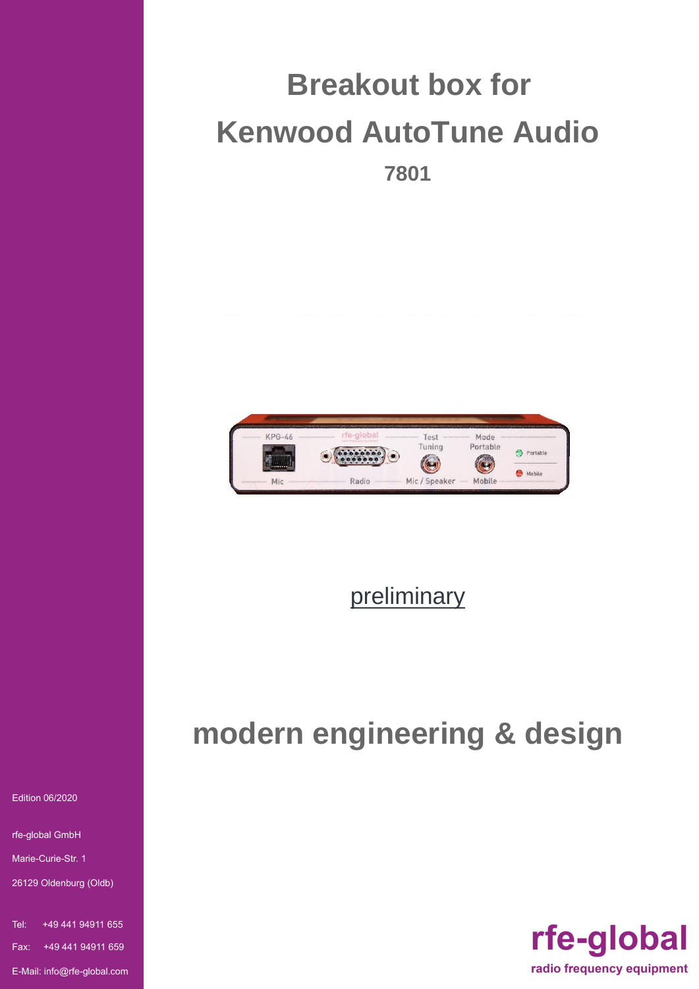



## preliminary

# **modern engineering & design**



Edition 06/2020

rfe-global GmbH

Marie-Curie-Str. 1

26129 Oldenburg (Oldb)

Tel: +49 441 94911 655 Fax: +49 441 94911 659 E-Mail: info@rfe-global.com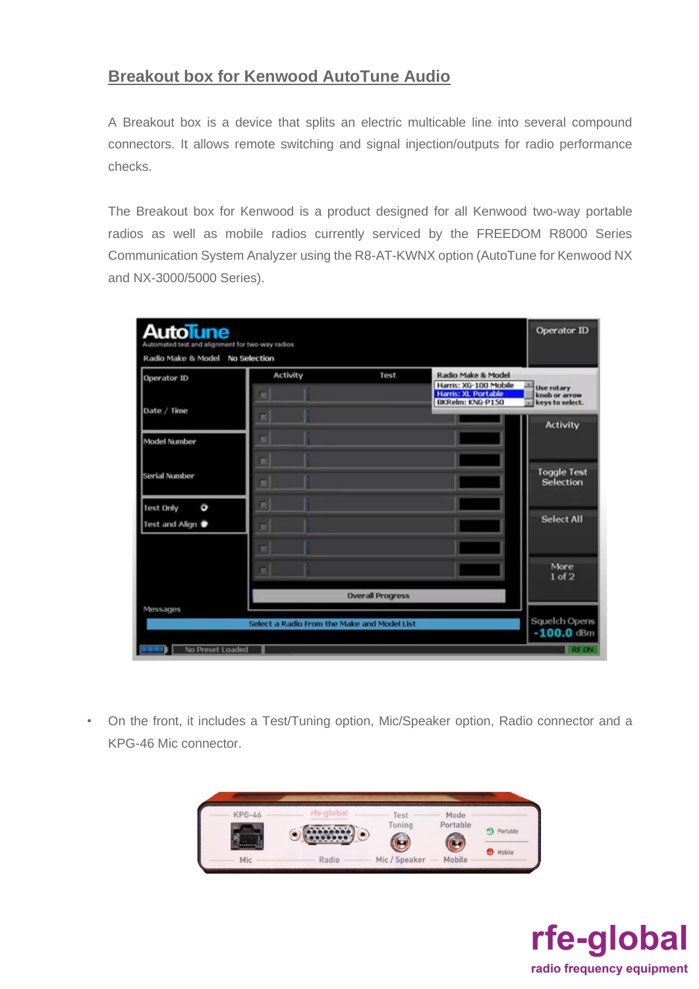### **Breakout box for Kenwood AutoTune Audio**

A Breakout box is a device that splits an electric multicable line into several compound connectors. It allows remote switching and signal injection/outputs for radio performance checks.

The Breakout box for Kenwood is a product designed for all Kenwood two-way portable radios as well as mobile radios currently serviced by the FREEDOM R8000 Series Communication System Analyzer using the R8-AT-KWNX option (AutoTune for Kenwood NX and NX-3000/5000 Series).

| Operator ID                             | Activity | Test                    | Radio Make & Model<br>Harris: XG-100 Mobile    | <b>Use rotary</b>                     |
|-----------------------------------------|----------|-------------------------|------------------------------------------------|---------------------------------------|
| Date / Time                             | π        |                         | <b>Harris: XL Portable</b><br>BKRelm: KNG-P150 | knob or arrow<br>keys to select.<br>w |
| <b>Model Number</b>                     | ▬        |                         |                                                | <b>Activity</b>                       |
| Serial Number                           | ٠<br>r   |                         |                                                | <b>Toggle Test</b><br>Selection       |
| Ö<br><b>Test Only</b><br>Test and Align | н<br>г   |                         |                                                | <b>Select All</b>                     |
|                                         |          |                         |                                                |                                       |
|                                         |          |                         |                                                | More<br>$1$ of $2$                    |
|                                         |          | <b>Overall Progress</b> |                                                |                                       |

• On the front, it includes a Test/Tuning option, Mic/Speaker option, Radio connector and a KPG-46 Mic connector.



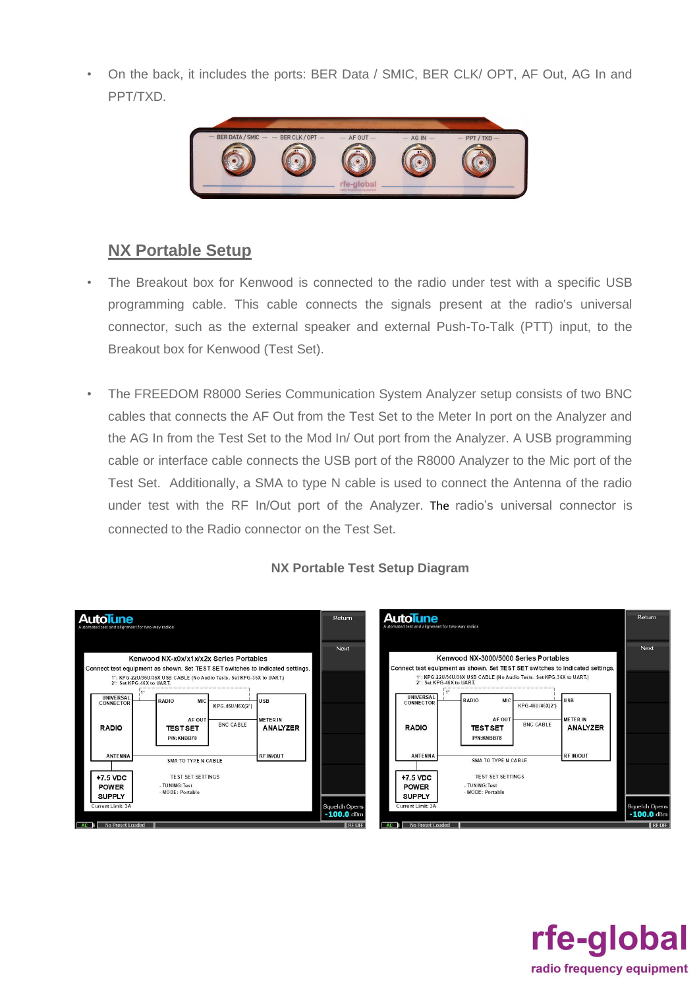• On the back, it includes the ports: BER Data / SMIC, BER CLK/ OPT, AF Out, AG In and PPT/TXD.



## **NX Portable Setup**

- The Breakout box for Kenwood is connected to the radio under test with a specific USB programming cable. This cable connects the signals present at the radio's universal connector, such as the external speaker and external Push-To-Talk (PTT) input, to the Breakout box for Kenwood (Test Set).
- The FREEDOM R8000 Series Communication System Analyzer setup consists of two BNC cables that connects the AF Out from the Test Set to the Meter In port on the Analyzer and the AG In from the Test Set to the Mod In/ Out port from the Analyzer. A USB programming cable or interface cable connects the USB port of the R8000 Analyzer to the Mic port of the Test Set. Additionally, a SMA to type N cable is used to connect the Antenna of the radio under test with the RF In/Out port of the Analyzer. The radio's universal connector is connected to the Radio connector on the Test Set.



#### **NX Portable Test Setup Diagram**